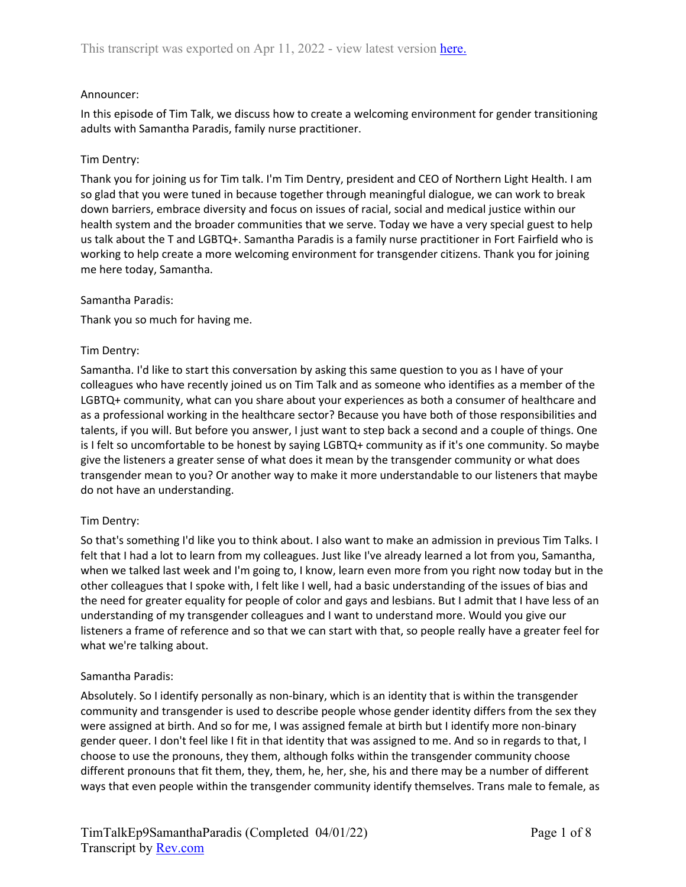## Announcer:

In this episode of Tim Talk, we discuss how to create a welcoming environment for gender transitioning adults with Samantha Paradis, family nurse practitioner.

## Tim Dentry:

Thank you for joining us for Tim talk. I'm Tim Dentry, president and CEO of Northern Light Health. I am so glad that you were tuned in because together through meaningful dialogue, we can work to break down barriers, embrace diversity and focus on issues of racial, social and medical justice within our health system and the broader communities that we serve. Today we have a very special guest to help us talk about the T and LGBTQ+. Samantha Paradis is a family nurse practitioner in Fort Fairfield who is working to help create a more welcoming environment for transgender citizens. Thank you for joining me here today, Samantha.

#### Samantha Paradis:

Thank you so much for having me.

## Tim Dentry:

Samantha. I'd like to start this conversation by asking this same question to you as I have of your colleagues who have recently joined us on Tim Talk and as someone who identifies as a member of the LGBTQ+ community, what can you share about your experiences as both a consumer of healthcare and as a professional working in the healthcare sector? Because you have both of those responsibilities and talents, if you will. But before you answer, I just want to step back a second and a couple of things. One is I felt so uncomfortable to be honest by saying LGBTQ+ community as if it's one community. So maybe give the listeners a greater sense of what does it mean by the transgender community or what does transgender mean to you? Or another way to make it more understandable to our listeners that maybe do not have an understanding.

# Tim Dentry:

So that's something I'd like you to think about. I also want to make an admission in previous Tim Talks. I felt that I had a lot to learn from my colleagues. Just like I've already learned a lot from you, Samantha, when we talked last week and I'm going to, I know, learn even more from you right now today but in the other colleagues that I spoke with, I felt like I well, had a basic understanding of the issues of bias and the need for greater equality for people of color and gays and lesbians. But I admit that I have less of an understanding of my transgender colleagues and I want to understand more. Would you give our listeners a frame of reference and so that we can start with that, so people really have a greater feel for what we're talking about.

#### Samantha Paradis:

Absolutely. So I identify personally as non-binary, which is an identity that is within the transgender community and transgender is used to describe people whose gender identity differs from the sex they were assigned at birth. And so for me, I was assigned female at birth but I identify more non-binary gender queer. I don't feel like I fit in that identity that was assigned to me. And so in regards to that, I choose to use the pronouns, they them, although folks within the transgender community choose different pronouns that fit them, they, them, he, her, she, his and there may be a number of different ways that even people within the transgender community identify themselves. Trans male to female, as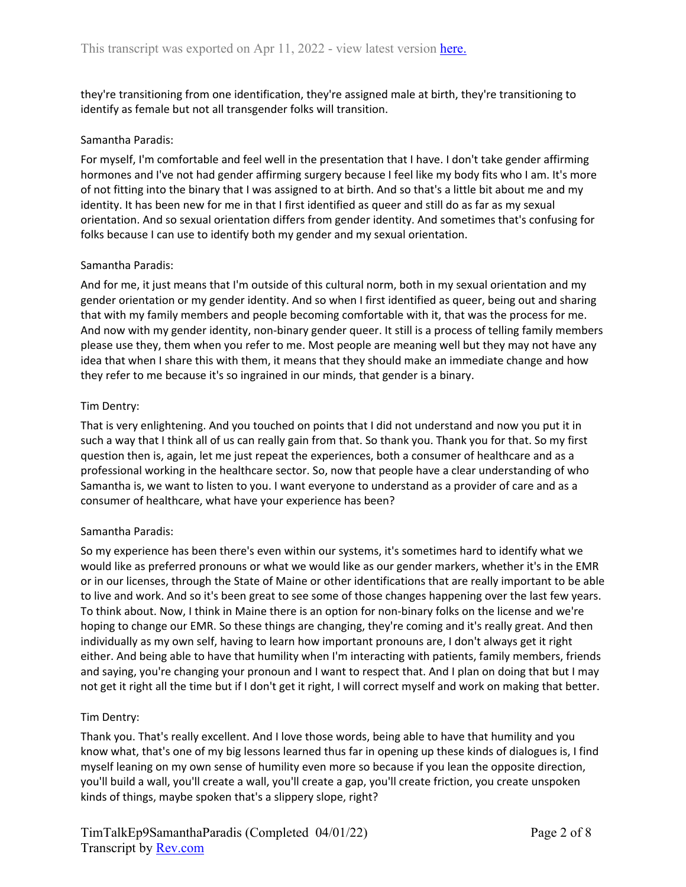they're transitioning from one identification, they're assigned male at birth, they're transitioning to identify as female but not all transgender folks will transition.

## Samantha Paradis:

For myself, I'm comfortable and feel well in the presentation that I have. I don't take gender affirming hormones and I've not had gender affirming surgery because I feel like my body fits who I am. It's more of not fitting into the binary that I was assigned to at birth. And so that's a little bit about me and my identity. It has been new for me in that I first identified as queer and still do as far as my sexual orientation. And so sexual orientation differs from gender identity. And sometimes that's confusing for folks because I can use to identify both my gender and my sexual orientation.

## Samantha Paradis:

And for me, it just means that I'm outside of this cultural norm, both in my sexual orientation and my gender orientation or my gender identity. And so when I first identified as queer, being out and sharing that with my family members and people becoming comfortable with it, that was the process for me. And now with my gender identity, non-binary gender queer. It still is a process of telling family members please use they, them when you refer to me. Most people are meaning well but they may not have any idea that when I share this with them, it means that they should make an immediate change and how they refer to me because it's so ingrained in our minds, that gender is a binary.

## Tim Dentry:

That is very enlightening. And you touched on points that I did not understand and now you put it in such a way that I think all of us can really gain from that. So thank you. Thank you for that. So my first question then is, again, let me just repeat the experiences, both a consumer of healthcare and as a professional working in the healthcare sector. So, now that people have a clear understanding of who Samantha is, we want to listen to you. I want everyone to understand as a provider of care and as a consumer of healthcare, what have your experience has been?

#### Samantha Paradis:

So my experience has been there's even within our systems, it's sometimes hard to identify what we would like as preferred pronouns or what we would like as our gender markers, whether it's in the EMR or in our licenses, through the State of Maine or other identifications that are really important to be able to live and work. And so it's been great to see some of those changes happening over the last few years. To think about. Now, I think in Maine there is an option for non-binary folks on the license and we're hoping to change our EMR. So these things are changing, they're coming and it's really great. And then individually as my own self, having to learn how important pronouns are, I don't always get it right either. And being able to have that humility when I'm interacting with patients, family members, friends and saying, you're changing your pronoun and I want to respect that. And I plan on doing that but I may not get it right all the time but if I don't get it right, I will correct myself and work on making that better.

#### Tim Dentry:

Thank you. That's really excellent. And I love those words, being able to have that humility and you know what, that's one of my big lessons learned thus far in opening up these kinds of dialogues is, I find myself leaning on my own sense of humility even more so because if you lean the opposite direction, you'll build a wall, you'll create a wall, you'll create a gap, you'll create friction, you create unspoken kinds of things, maybe spoken that's a slippery slope, right?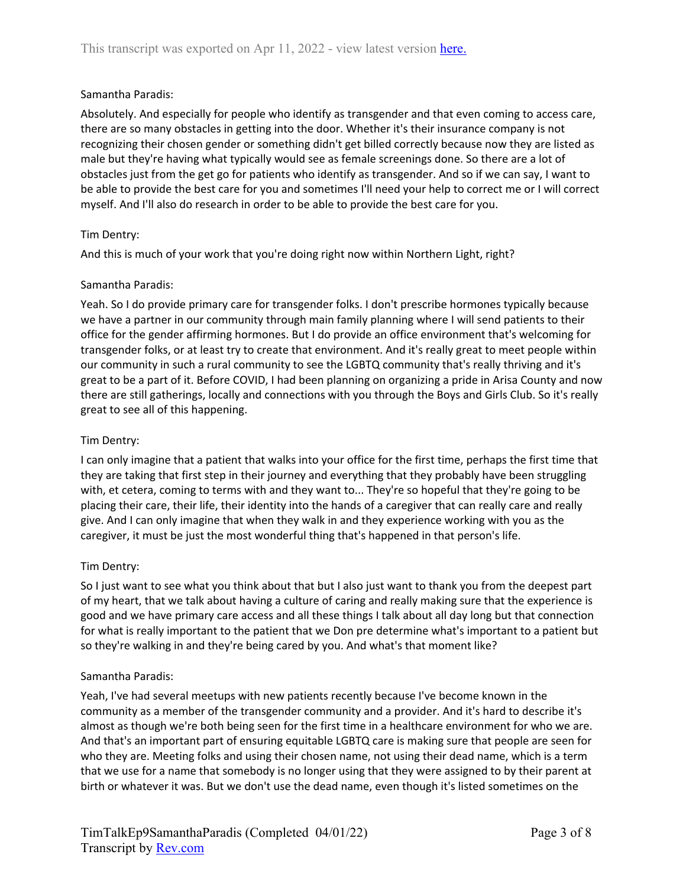## Samantha Paradis:

Absolutely. And especially for people who identify as transgender and that even coming to access care, there are so many obstacles in getting into the door. Whether it's their insurance company is not recognizing their chosen gender or something didn't get billed correctly because now they are listed as male but they're having what typically would see as female screenings done. So there are a lot of obstacles just from the get go for patients who identify as transgender. And so if we can say, I want to be able to provide the best care for you and sometimes I'll need your help to correct me or I will correct myself. And I'll also do research in order to be able to provide the best care for you.

## Tim Dentry:

And this is much of your work that you're doing right now within Northern Light, right?

## Samantha Paradis:

Yeah. So I do provide primary care for transgender folks. I don't prescribe hormones typically because we have a partner in our community through main family planning where I will send patients to their office for the gender affirming hormones. But I do provide an office environment that's welcoming for transgender folks, or at least try to create that environment. And it's really great to meet people within our community in such a rural community to see the LGBTQ community that's really thriving and it's great to be a part of it. Before COVID, I had been planning on organizing a pride in Arisa County and now there are still gatherings, locally and connections with you through the Boys and Girls Club. So it's really great to see all of this happening.

## Tim Dentry:

I can only imagine that a patient that walks into your office for the first time, perhaps the first time that they are taking that first step in their journey and everything that they probably have been struggling with, et cetera, coming to terms with and they want to... They're so hopeful that they're going to be placing their care, their life, their identity into the hands of a caregiver that can really care and really give. And I can only imagine that when they walk in and they experience working with you as the caregiver, it must be just the most wonderful thing that's happened in that person's life.

#### Tim Dentry:

So I just want to see what you think about that but I also just want to thank you from the deepest part of my heart, that we talk about having a culture of caring and really making sure that the experience is good and we have primary care access and all these things I talk about all day long but that connection for what is really important to the patient that we Don pre determine what's important to a patient but so they're walking in and they're being cared by you. And what's that moment like?

#### Samantha Paradis:

Yeah, I've had several meetups with new patients recently because I've become known in the community as a member of the transgender community and a provider. And it's hard to describe it's almost as though we're both being seen for the first time in a healthcare environment for who we are. And that's an important part of ensuring equitable LGBTQ care is making sure that people are seen for who they are. Meeting folks and using their chosen name, not using their dead name, which is a term that we use for a name that somebody is no longer using that they were assigned to by their parent at birth or whatever it was. But we don't use the dead name, even though it's listed sometimes on the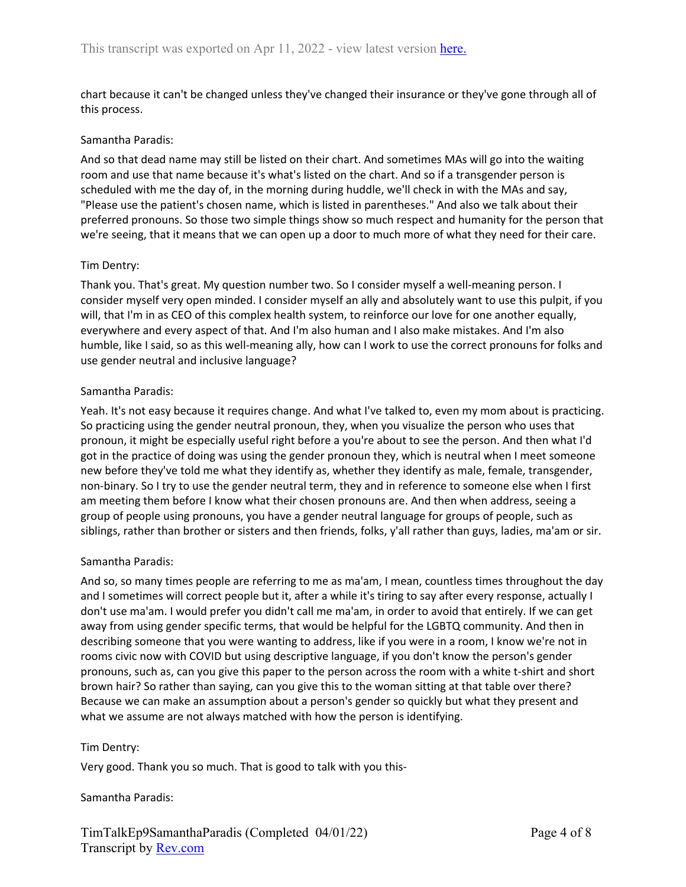chart because it can't be changed unless they've changed their insurance or they've gone through all of this process.

#### Samantha Paradis:

And so that dead name may still be listed on their chart. And sometimes MAs will go into the waiting room and use that name because it's what's listed on the chart. And so if a transgender person is scheduled with me the day of, in the morning during huddle, we'll check in with the MAs and say, "Please use the patient's chosen name, which is listed in parentheses." And also we talk about their preferred pronouns. So those two simple things show so much respect and humanity for the person that we're seeing, that it means that we can open up a door to much more of what they need for their care.

#### Tim Dentry:

Thank you. That's great. My question number two. So I consider myself a well-meaning person. I consider myself very open minded. I consider myself an ally and absolutely want to use this pulpit, if you will, that I'm in as CEO of this complex health system, to reinforce our love for one another equally, everywhere and every aspect of that. And I'm also human and I also make mistakes. And I'm also humble, like I said, so as this well-meaning ally, how can I work to use the correct pronouns for folks and use gender neutral and inclusive language?

#### Samantha Paradis:

Yeah. It's not easy because it requires change. And what I've talked to, even my mom about is practicing. So practicing using the gender neutral pronoun, they, when you visualize the person who uses that pronoun, it might be especially useful right before a you're about to see the person. And then what I'd got in the practice of doing was using the gender pronoun they, which is neutral when I meet someone new before they've told me what they identify as, whether they identify as male, female, transgender, non-binary. So I try to use the gender neutral term, they and in reference to someone else when I first am meeting them before I know what their chosen pronouns are. And then when address, seeing a group of people using pronouns, you have a gender neutral language for groups of people, such as siblings, rather than brother or sisters and then friends, folks, y'all rather than guys, ladies, ma'am or sir.

#### Samantha Paradis:

And so, so many times people are referring to me as ma'am, I mean, countless times throughout the day and I sometimes will correct people but it, after a while it's tiring to say after every response, actually I don't use ma'am. I would prefer you didn't call me ma'am, in order to avoid that entirely. If we can get away from using gender specific terms, that would be helpful for the LGBTQ community. And then in describing someone that you were wanting to address, like if you were in a room, I know we're not in rooms civic now with COVID but using descriptive language, if you don't know the person's gender pronouns, such as, can you give this paper to the person across the room with a white t-shirt and short brown hair? So rather than saying, can you give this to the woman sitting at that table over there? Because we can make an assumption about a person's gender so quickly but what they present and what we assume are not always matched with how the person is identifying.

#### Tim Dentry:

Very good. Thank you so much. That is good to talk with you this-

#### Samantha Paradis: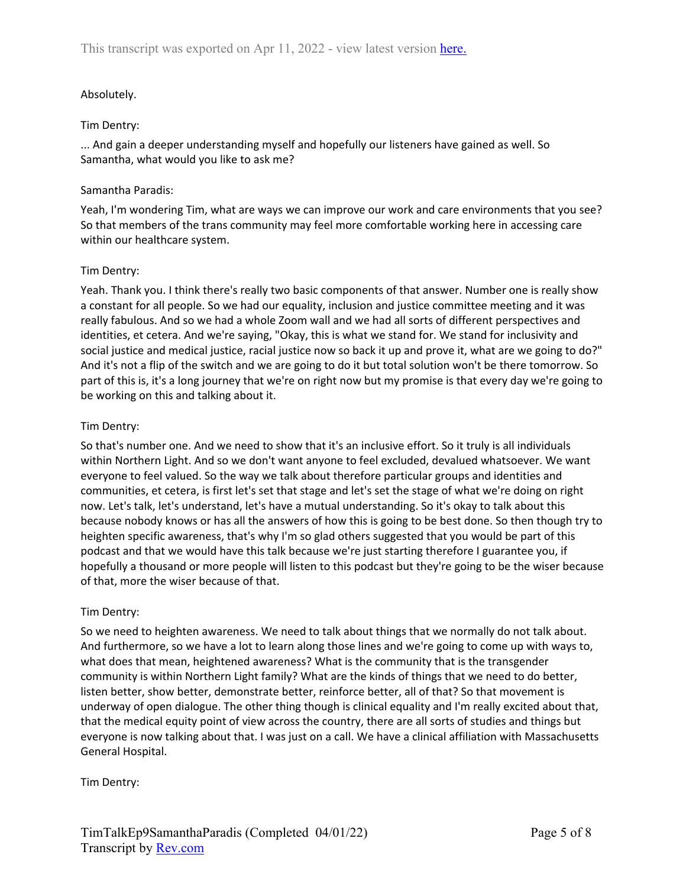# Absolutely.

#### Tim Dentry:

... And gain a deeper understanding myself and hopefully our listeners have gained as well. So Samantha, what would you like to ask me?

#### Samantha Paradis:

Yeah, I'm wondering Tim, what are ways we can improve our work and care environments that you see? So that members of the trans community may feel more comfortable working here in accessing care within our healthcare system.

#### Tim Dentry:

Yeah. Thank you. I think there's really two basic components of that answer. Number one is really show a constant for all people. So we had our equality, inclusion and justice committee meeting and it was really fabulous. And so we had a whole Zoom wall and we had all sorts of different perspectives and identities, et cetera. And we're saying, "Okay, this is what we stand for. We stand for inclusivity and social justice and medical justice, racial justice now so back it up and prove it, what are we going to do?" And it's not a flip of the switch and we are going to do it but total solution won't be there tomorrow. So part of this is, it's a long journey that we're on right now but my promise is that every day we're going to be working on this and talking about it.

#### Tim Dentry:

So that's number one. And we need to show that it's an inclusive effort. So it truly is all individuals within Northern Light. And so we don't want anyone to feel excluded, devalued whatsoever. We want everyone to feel valued. So the way we talk about therefore particular groups and identities and communities, et cetera, is first let's set that stage and let's set the stage of what we're doing on right now. Let's talk, let's understand, let's have a mutual understanding. So it's okay to talk about this because nobody knows or has all the answers of how this is going to be best done. So then though try to heighten specific awareness, that's why I'm so glad others suggested that you would be part of this podcast and that we would have this talk because we're just starting therefore I guarantee you, if hopefully a thousand or more people will listen to this podcast but they're going to be the wiser because of that, more the wiser because of that.

#### Tim Dentry:

So we need to heighten awareness. We need to talk about things that we normally do not talk about. And furthermore, so we have a lot to learn along those lines and we're going to come up with ways to, what does that mean, heightened awareness? What is the community that is the transgender community is within Northern Light family? What are the kinds of things that we need to do better, listen better, show better, demonstrate better, reinforce better, all of that? So that movement is underway of open dialogue. The other thing though is clinical equality and I'm really excited about that, that the medical equity point of view across the country, there are all sorts of studies and things but everyone is now talking about that. I was just on a call. We have a clinical affiliation with Massachusetts General Hospital.

Tim Dentry: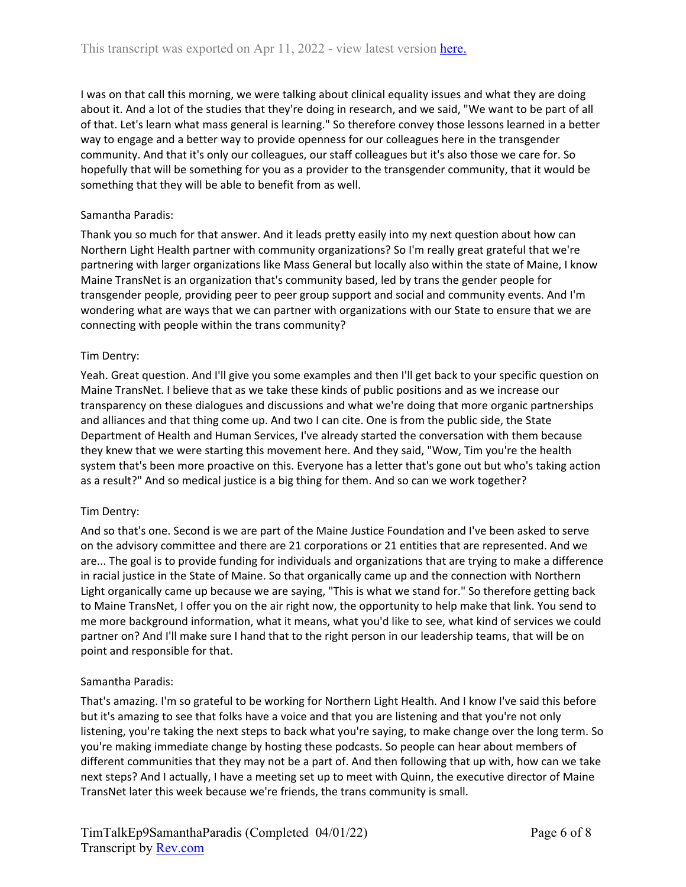I was on that call this morning, we were talking about clinical equality issues and what they are doing about it. And a lot of the studies that they're doing in research, and we said, "We want to be part of all of that. Let's learn what mass general is learning." So therefore convey those lessons learned in a better way to engage and a better way to provide openness for our colleagues here in the transgender community. And that it's only our colleagues, our staff colleagues but it's also those we care for. So hopefully that will be something for you as a provider to the transgender community, that it would be something that they will be able to benefit from as well.

# Samantha Paradis:

Thank you so much for that answer. And it leads pretty easily into my next question about how can Northern Light Health partner with community organizations? So I'm really great grateful that we're partnering with larger organizations like Mass General but locally also within the state of Maine, I know Maine TransNet is an organization that's community based, led by trans the gender people for transgender people, providing peer to peer group support and social and community events. And I'm wondering what are ways that we can partner with organizations with our State to ensure that we are connecting with people within the trans community?

## Tim Dentry:

Yeah. Great question. And I'll give you some examples and then I'll get back to your specific question on Maine TransNet. I believe that as we take these kinds of public positions and as we increase our transparency on these dialogues and discussions and what we're doing that more organic partnerships and alliances and that thing come up. And two I can cite. One is from the public side, the State Department of Health and Human Services, I've already started the conversation with them because they knew that we were starting this movement here. And they said, "Wow, Tim you're the health system that's been more proactive on this. Everyone has a letter that's gone out but who's taking action as a result?" And so medical justice is a big thing for them. And so can we work together?

#### Tim Dentry:

And so that's one. Second is we are part of the Maine Justice Foundation and I've been asked to serve on the advisory committee and there are 21 corporations or 21 entities that are represented. And we are... The goal is to provide funding for individuals and organizations that are trying to make a difference in racial justice in the State of Maine. So that organically came up and the connection with Northern Light organically came up because we are saying, "This is what we stand for." So therefore getting back to Maine TransNet, I offer you on the air right now, the opportunity to help make that link. You send to me more background information, what it means, what you'd like to see, what kind of services we could partner on? And I'll make sure I hand that to the right person in our leadership teams, that will be on point and responsible for that.

#### Samantha Paradis:

That's amazing. I'm so grateful to be working for Northern Light Health. And I know I've said this before but it's amazing to see that folks have a voice and that you are listening and that you're not only listening, you're taking the next steps to back what you're saying, to make change over the long term. So you're making immediate change by hosting these podcasts. So people can hear about members of different communities that they may not be a part of. And then following that up with, how can we take next steps? And I actually, I have a meeting set up to meet with Quinn, the executive director of Maine TransNet later this week because we're friends, the trans community is small.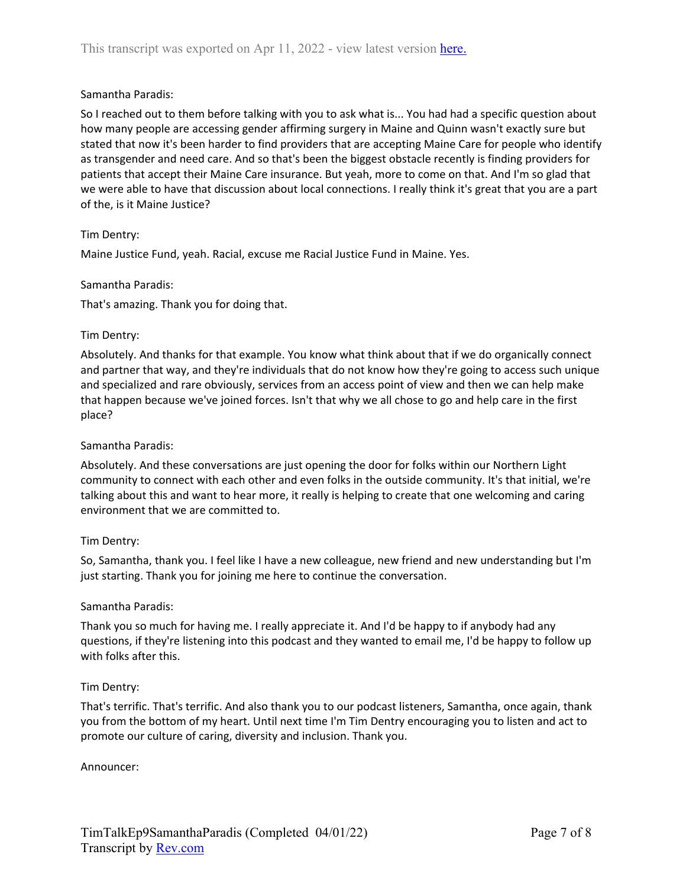## Samantha Paradis:

So I reached out to them before talking with you to ask what is... You had had a specific question about how many people are accessing gender affirming surgery in Maine and Quinn wasn't exactly sure but stated that now it's been harder to find providers that are accepting Maine Care for people who identify as transgender and need care. And so that's been the biggest obstacle recently is finding providers for patients that accept their Maine Care insurance. But yeah, more to come on that. And I'm so glad that we were able to have that discussion about local connections. I really think it's great that you are a part of the, is it Maine Justice?

## Tim Dentry:

Maine Justice Fund, yeah. Racial, excuse me Racial Justice Fund in Maine. Yes.

#### Samantha Paradis:

That's amazing. Thank you for doing that.

## Tim Dentry:

Absolutely. And thanks for that example. You know what think about that if we do organically connect and partner that way, and they're individuals that do not know how they're going to access such unique and specialized and rare obviously, services from an access point of view and then we can help make that happen because we've joined forces. Isn't that why we all chose to go and help care in the first place?

### Samantha Paradis:

Absolutely. And these conversations are just opening the door for folks within our Northern Light community to connect with each other and even folks in the outside community. It's that initial, we're talking about this and want to hear more, it really is helping to create that one welcoming and caring environment that we are committed to.

#### Tim Dentry:

So, Samantha, thank you. I feel like I have a new colleague, new friend and new understanding but I'm just starting. Thank you for joining me here to continue the conversation.

#### Samantha Paradis:

Thank you so much for having me. I really appreciate it. And I'd be happy to if anybody had any questions, if they're listening into this podcast and they wanted to email me, I'd be happy to follow up with folks after this.

# Tim Dentry:

That's terrific. That's terrific. And also thank you to our podcast listeners, Samantha, once again, thank you from the bottom of my heart. Until next time I'm Tim Dentry encouraging you to listen and act to promote our culture of caring, diversity and inclusion. Thank you.

Announcer: